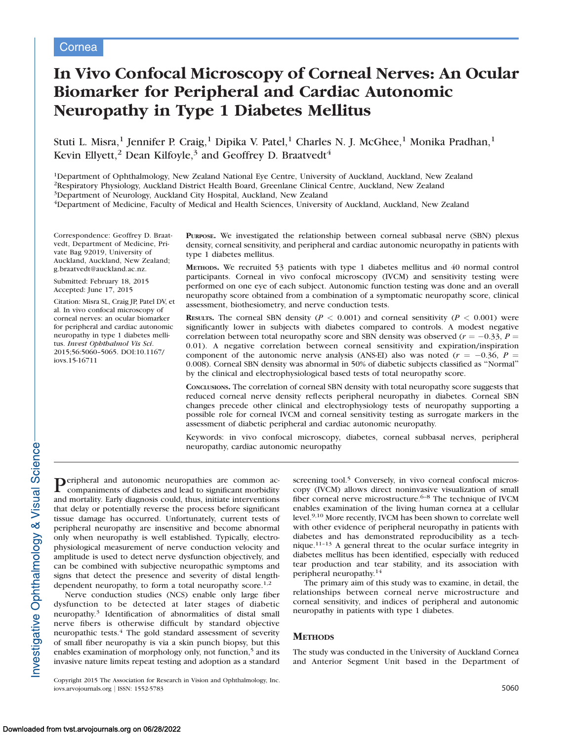# In Vivo Confocal Microscopy of Corneal Nerves: An Ocular Biomarker for Peripheral and Cardiac Autonomic Neuropathy in Type 1 Diabetes Mellitus

Stuti L. Misra,<sup>1</sup> Jennifer P. Craig,<sup>1</sup> Dipika V. Patel,<sup>1</sup> Charles N. J. McGhee,<sup>1</sup> Monika Pradhan,<sup>1</sup> Kevin Ellyett,<sup>2</sup> Dean Kilfoyle,<sup>3</sup> and Geoffrey D. Braatvedt<sup>4</sup>

1Department of Ophthalmology, New Zealand National Eye Centre, University of Auckland, Auckland, New Zealand 2Respiratory Physiology, Auckland District Health Board, Greenlane Clinical Centre, Auckland, New Zealand 3Department of Neurology, Auckland City Hospital, Auckland, New Zealand

4Department of Medicine, Faculty of Medical and Health Sciences, University of Auckland, Auckland, New Zealand

Correspondence: Geoffrey D. Braatvedt, Department of Medicine, Private Bag 92019, University of Auckland, Auckland, New Zealand; g.braatvedt@auckland.ac.nz.

Submitted: February 18, 2015 Accepted: June 17, 2015

Citation: Misra SL, Craig JP, Patel DV, et al. In vivo confocal microscopy of corneal nerves: an ocular biomarker for peripheral and cardiac autonomic neuropathy in type 1 diabetes mellitus. Invest Ophthalmol Vis Sci. 2015;56:5060–5065. DOI:10.1167/ iovs.15-16711

PURPOSE. We investigated the relationship between corneal subbasal nerve (SBN) plexus density, corneal sensitivity, and peripheral and cardiac autonomic neuropathy in patients with type 1 diabetes mellitus.

METHODS. We recruited 53 patients with type 1 diabetes mellitus and 40 normal control participants. Corneal in vivo confocal microscopy (IVCM) and sensitivity testing were performed on one eye of each subject. Autonomic function testing was done and an overall neuropathy score obtained from a combination of a symptomatic neuropathy score, clinical assessment, biothesiometry, and nerve conduction tests.

RESULTS. The corneal SBN density ( $P < 0.001$ ) and corneal sensitivity ( $P < 0.001$ ) were significantly lower in subjects with diabetes compared to controls. A modest negative correlation between total neuropathy score and SBN density was observed  $(r = -0.33, P =$ 0.01). A negative correlation between corneal sensitivity and expiration/inspiration component of the autonomic nerve analysis (ANS-EI) also was noted ( $r = -0.36$ ,  $P =$ 0.008). Corneal SBN density was abnormal in 50% of diabetic subjects classified as ''Normal'' by the clinical and electrophysiological based tests of total neuropathy score.

CONCLUSIONS. The correlation of corneal SBN density with total neuropathy score suggests that reduced corneal nerve density reflects peripheral neuropathy in diabetes. Corneal SBN changes precede other clinical and electrophysiology tests of neuropathy supporting a possible role for corneal IVCM and corneal sensitivity testing as surrogate markers in the assessment of diabetic peripheral and cardiac autonomic neuropathy.

Keywords: in vivo confocal microscopy, diabetes, corneal subbasal nerves, peripheral neuropathy, cardiac autonomic neuropathy

Peripheral and autonomic neuropathies are common ac-companiments of diabetes and lead to significant morbidity and mortality. Early diagnosis could, thus, initiate interventions that delay or potentially reverse the process before significant tissue damage has occurred. Unfortunately, current tests of peripheral neuropathy are insensitive and become abnormal only when neuropathy is well established. Typically, electrophysiological measurement of nerve conduction velocity and amplitude is used to detect nerve dysfunction objectively, and can be combined with subjective neuropathic symptoms and signs that detect the presence and severity of distal lengthdependent neuropathy, to form a total neuropathy score.<sup>1,2</sup>

Nerve conduction studies (NCS) enable only large fiber dysfunction to be detected at later stages of diabetic neuropathy.<sup>3</sup> Identification of abnormalities of distal small nerve fibers is otherwise difficult by standard objective neuropathic tests.<sup>4</sup> The gold standard assessment of severity of small fiber neuropathy is via a skin punch biopsy, but this enables examination of morphology only, not function,<sup>5</sup> and its invasive nature limits repeat testing and adoption as a standard

Copyright 2015 The Association for Research in Vision and Ophthalmology, Inc. iovs.arvojournals.org | ISSN: 1552-5783 5060

screening tool.<sup>5</sup> Conversely, in vivo corneal confocal microscopy (IVCM) allows direct noninvasive visualization of small fiber corneal nerve microstructure.<sup>6-8</sup> The technique of IVCM enables examination of the living human cornea at a cellular level.9,10 More recently, IVCM has been shown to correlate well with other evidence of peripheral neuropathy in patients with diabetes and has demonstrated reproducibility as a technique.11–13 A general threat to the ocular surface integrity in diabetes mellitus has been identified, especially with reduced tear production and tear stability, and its association with peripheral neuropathy.14

The primary aim of this study was to examine, in detail, the relationships between corneal nerve microstructure and corneal sensitivity, and indices of peripheral and autonomic neuropathy in patients with type 1 diabetes.

## **METHODS**

The study was conducted in the University of Auckland Cornea and Anterior Segment Unit based in the Department of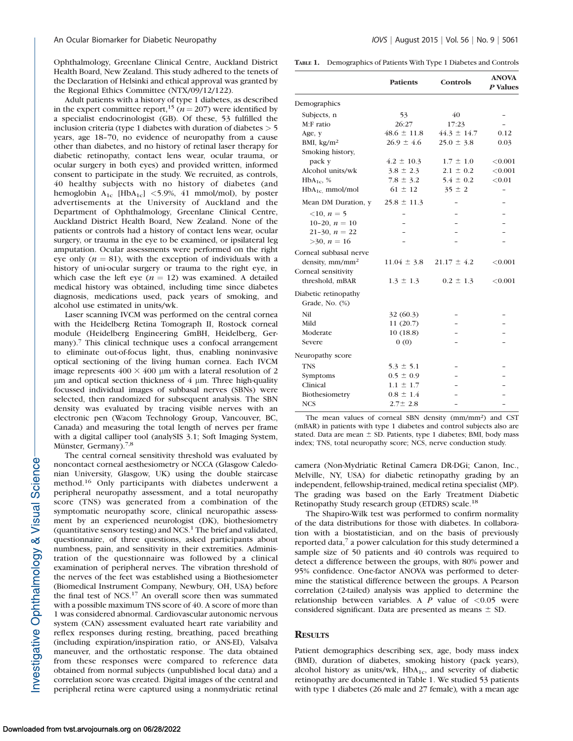Ophthalmology, Greenlane Clinical Centre, Auckland District Health Board, New Zealand. This study adhered to the tenets of the Declaration of Helsinki and ethical approval was granted by the Regional Ethics Committee (NTX/09/12/122).

Adult patients with a history of type 1 diabetes, as described in the expert committee report,<sup>15</sup> ( $n = 207$ ) were identified by a specialist endocrinologist (GB). Of these, 53 fulfilled the inclusion criteria (type 1 diabetes with duration of diabetes > 5 years, age 18–70, no evidence of neuropathy from a cause other than diabetes, and no history of retinal laser therapy for diabetic retinopathy, contact lens wear, ocular trauma, or ocular surgery in both eyes) and provided written, informed consent to participate in the study. We recruited, as controls, 40 healthy subjects with no history of diabetes (and hemoglobin  $A_{1c}$  [Hb $A_{1c}$ ] <5.9%, 41 mmol/mol), by poster advertisements at the University of Auckland and the Department of Ophthalmology, Greenlane Clinical Centre, Auckland District Health Board, New Zealand. None of the patients or controls had a history of contact lens wear, ocular surgery, or trauma in the eye to be examined, or ipsilateral leg amputation. Ocular assessments were performed on the right eye only  $(n = 81)$ , with the exception of individuals with a history of uni-ocular surgery or trauma to the right eye, in which case the left eye ( $n = 12$ ) was examined. A detailed medical history was obtained, including time since diabetes diagnosis, medications used, pack years of smoking, and alcohol use estimated in units/wk.

Laser scanning IVCM was performed on the central cornea with the Heidelberg Retina Tomograph II, Rostock corneal module (Heidelberg Engineering GmBH, Heidelberg, Germany).<sup>7</sup> This clinical technique uses a confocal arrangement to eliminate out-of-focus light, thus, enabling noninvasive optical sectioning of the living human cornea. Each IVCM image represents  $400 \times 400$  µm with a lateral resolution of 2  $\mu$ m and optical section thickness of 4  $\mu$ m. Three high-quality focussed individual images of subbasal nerves (SBNs) were selected, then randomized for subsequent analysis. The SBN density was evaluated by tracing visible nerves with an electronic pen (Wacom Technology Group, Vancouver, BC, Canada) and measuring the total length of nerves per frame with a digital calliper tool (analySIS 3.1; Soft Imaging System, Münster, Germany).<sup>7,8</sup>

The central corneal sensitivity threshold was evaluated by noncontact corneal aesthesiometry or NCCA (Glasgow Caledonian University, Glasgow, UK) using the double staircase method.<sup>16</sup> Only participants with diabetes underwent a peripheral neuropathy assessment, and a total neuropathy score (TNS) was generated from a combination of the symptomatic neuropathy score, clinical neuropathic assessment by an experienced neurologist (DK), biothesiometry (quantitative sensory testing) and NCS.<sup>1</sup> The brief and validated, questionnaire, of three questions, asked participants about numbness, pain, and sensitivity in their extremities. Administration of the questionnaire was followed by a clinical examination of peripheral nerves. The vibration threshold of the nerves of the feet was established using a Biothesiometer (Biomedical Instrument Company, Newbury, OH, USA) before the final test of NCS.17 An overall score then was summated with a possible maximum TNS score of 40. A score of more than 1 was considered abnormal. Cardiovascular autonomic nervous system (CAN) assessment evaluated heart rate variability and reflex responses during resting, breathing, paced breathing (including expiration/inspiration ratio, or ANS-EI), Valsalva maneuver, and the orthostatic response. The data obtained from these responses were compared to reference data obtained from normal subjects (unpublished local data) and a correlation score was created. Digital images of the central and peripheral retina were captured using a nonmydriatic retinal

TABLE 1. Demographics of Patients With Type 1 Diabetes and Controls

|                        | <b>Patients</b> | Controls        | <b>ANOVA</b><br>P Values |
|------------------------|-----------------|-----------------|--------------------------|
| Demographics           |                 |                 |                          |
| Subjects, n            | 53              | 40              |                          |
| M:F ratio              | 26:27           | 17:23           |                          |
| Age, y                 | $48.6 \pm 11.8$ | $44.3 \pm 14.7$ | 0.12                     |
| BMI, $kg/m2$           | $26.9 \pm 4.6$  | $25.0 \pm 3.8$  | 0.03                     |
| Smoking history,       |                 |                 |                          |
| pack y                 | $4.2 \pm 10.3$  | $1.7 \pm 1.0$   | < 0.001                  |
| Alcohol units/wk       | $3.8 \pm 2.3$   | $2.1 \pm 0.2$   | < 0.001                  |
| $HbA_{1c}$ , %         | $7.8 \pm 3.2$   | $5.4 \pm 0.2$   | < 0.01                   |
| $HbA_{1c}$ mmol/mol    | $61 \pm 12$     | $35 \pm 2$      |                          |
| Mean DM Duration, y    | $25.8 \pm 11.3$ |                 |                          |
| $<10, n=5$             |                 |                 |                          |
| 10-20, $n = 10$        |                 |                 |                          |
| $21-30, n = 22$        |                 |                 |                          |
| $>30, n = 16$          |                 |                 |                          |
| Corneal subbasal nerve |                 |                 |                          |
| density, $mm/mm2$      | $11.04 \pm 3.8$ | $21.17 \pm 4.2$ | < 0.001                  |
| Corneal sensitivity    |                 |                 |                          |
| threshold, mBAR        | $1.3 \pm 1.3$   | $0.2 \pm 1.3$   | < 0.001                  |
| Diabetic retinopathy   |                 |                 |                          |
| Grade, No. (%)         |                 |                 |                          |
| Nil                    | 32(60.3)        |                 |                          |
| Mild                   | 11(20.7)        |                 |                          |
| Moderate               | 10(18.8)        |                 |                          |
| Severe                 | 0(0)            |                 |                          |
| Neuropathy score       |                 |                 |                          |
| <b>TNS</b>             | $5.3 \pm 5.1$   |                 |                          |
| Symptoms               | $0.5 \pm 0.9$   |                 |                          |
| Clinical               | $1.1 \pm 1.7$   |                 |                          |
| Biothesiometry         | $0.8 \pm 1.4$   |                 |                          |
| <b>NCS</b>             | $2.7 \pm 2.8$   |                 |                          |

The mean values of corneal SBN density (mm/mm2) and CST (mBAR) in patients with type 1 diabetes and control subjects also are stated. Data are mean  $\pm$  SD. Patients, type 1 diabetes; BMI, body mass index; TNS, total neuropathy score; NCS, nerve conduction study.

camera (Non-Mydriatic Retinal Camera DR-DGi; Canon, Inc., Melville, NY, USA) for diabetic retinopathy grading by an independent, fellowship-trained, medical retina specialist (MP). The grading was based on the Early Treatment Diabetic Retinopathy Study research group (ETDRS) scale.<sup>18</sup>

The Shapiro-Wilk test was performed to confirm normality of the data distributions for those with diabetes. In collaboration with a biostatistician, and on the basis of previously reported data,<sup>7</sup> a power calculation for this study determined a sample size of 50 patients and 40 controls was required to detect a difference between the groups, with 80% power and 95% confidence. One-factor ANOVA was performed to determine the statistical difference between the groups. A Pearson correlation (2-tailed) analysis was applied to determine the relationship between variables. A  $P$  value of  $\langle 0.05 \rangle$  were considered significant. Data are presented as means  $\pm$  SD.

### **RESULTS**

Patient demographics describing sex, age, body mass index (BMI), duration of diabetes, smoking history (pack years), alcohol history as units/wk,  $HbA_{1c}$ , and severity of diabetic retinopathy are documented in Table 1. We studied 53 patients with type 1 diabetes (26 male and 27 female), with a mean age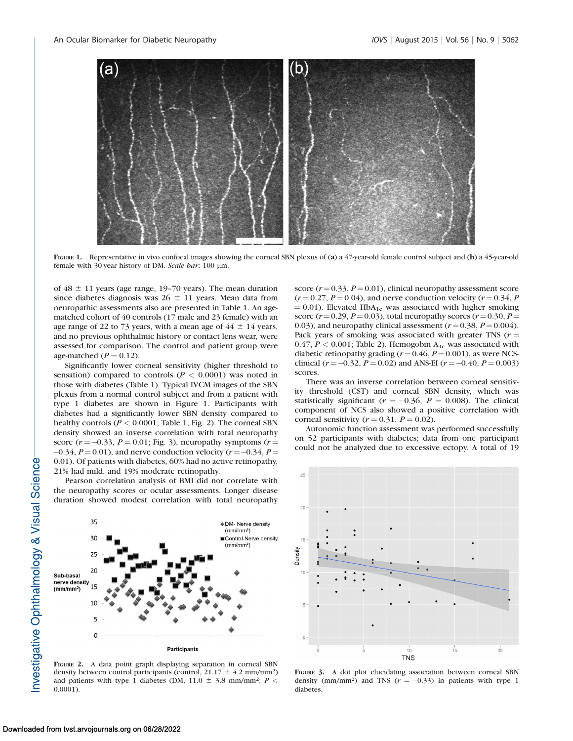

FIGURE 1. Representative in vivo confocal images showing the corneal SBN plexus of (a) a 47-year-old female control subject and (b) a 45-year-old female with 30-year history of DM. Scale bar: 100 µm.

of  $48 \pm 11$  years (age range, 19-70 years). The mean duration since diabetes diagnosis was  $26 \pm 11$  years. Mean data from neuropathic assessments also are presented in Table 1. An agematched cohort of 40 controls (17 male and 23 female) with an age range of 22 to 73 years, with a mean age of  $44 \pm 14$  years, and no previous ophthalmic history or contact lens wear, were assessed for comparison. The control and patient group were age-matched ( $P = 0.12$ ).

Significantly lower corneal sensitivity (higher threshold to sensation) compared to controls ( $P < 0.0001$ ) was noted in those with diabetes (Table 1). Typical IVCM images of the SBN plexus from a normal control subject and from a patient with type 1 diabetes are shown in Figure 1. Participants with diabetes had a significantly lower SBN density compared to healthy controls ( $P < 0.0001$ ; Table 1, Fig. 2). The corneal SBN density showed an inverse correlation with total neuropathy score  $(r = -0.33, P = 0.01;$  Fig. 3), neuropathy symptoms  $(r =$  $-0.34$ ,  $P = 0.01$ ), and nerve conduction velocity ( $r = -0.34$ ,  $P =$ 0.01). Of patients with diabetes, 60% had no active retinopathy, 21% had mild, and 19% moderate retinopathy.

Pearson correlation analysis of BMI did not correlate with the neuropathy scores or ocular assessments. Longer disease duration showed modest correlation with total neuropathy



FIGURE 2. A data point graph displaying separation in corneal SBN density between control participants (control,  $21.17 \pm 4.2$  mm/mm<sup>2</sup>) and patients with type 1 diabetes (DM,  $11.0 \pm 3.8$  mm/mm<sup>2</sup>; P < 0.0001).

score ( $r = 0.33$ ,  $P = 0.01$ ), clinical neuropathy assessment score  $(r = 0.27, P = 0.04)$ , and nerve conduction velocity  $(r = 0.34, P)$  $= 0.01$ ). Elevated HbA<sub>1c</sub> was associated with higher smoking score ( $r=0.29$ ,  $P=0.03$ ), total neuropathy scores ( $r=0.30$ ,  $P=$ 0.03), and neuropathy clinical assessment ( $r = 0.38$ ,  $P = 0.004$ ). Pack years of smoking was associated with greater TNS ( $r =$ 0.47,  $P < 0.001$ ; Table 2). Hemogobin  $A_{1c}$  was associated with diabetic retinopathy grading ( $r = 0.46$ ,  $P = 0.001$ ), as were NCSclinical ( $r = -0.32$ ,  $P = 0.02$ ) and ANS-EI ( $r = -0.40$ ,  $P = 0.003$ ) scores.

There was an inverse correlation between corneal sensitivity threshold (CST) and corneal SBN density, which was statistically significant ( $r = -0.36$ ,  $P = 0.008$ ). The clinical component of NCS also showed a positive correlation with corneal sensitivity ( $r = 0.31$ ,  $P = 0.02$ ).

Autonomic function assessment was performed successfully on 52 participants with diabetes; data from one participant could not be analyzed due to excessive ectopy. A total of 19



FIGURE 3. A dot plot elucidating association between corneal SBN density (mm/mm<sup>2</sup>) and TNS  $(r = -0.33)$  in patients with type 1 diabetes.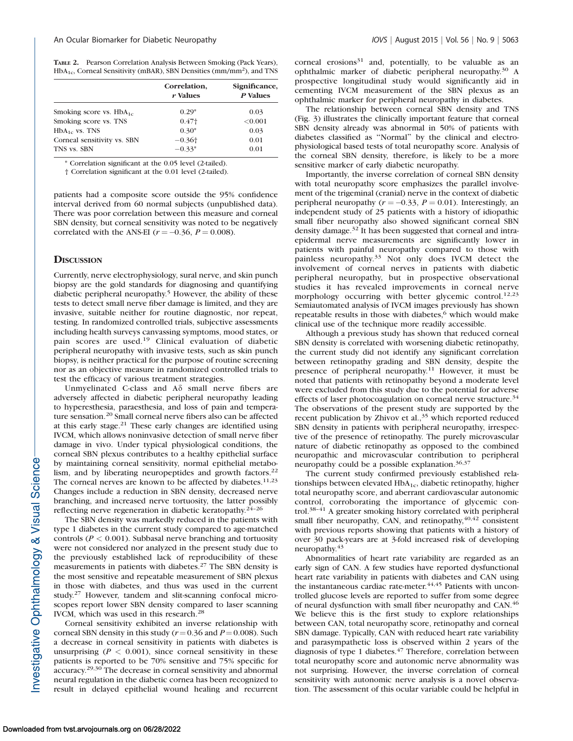TABLE 2. Pearson Correlation Analysis Between Smoking (Pack Years), HbA<sub>1c</sub>, Corneal Sensitivity (mBAR), SBN Densities (mm/mm<sup>2</sup>), and TNS

|                              | Correlation,<br>r Values | Significance,<br>P Values |
|------------------------------|--------------------------|---------------------------|
| Smoking score vs. $HbA_{1c}$ | $0.29*$                  | 0.03                      |
| Smoking score vs. TNS        | 0.47 <sup>†</sup>        | < 0.001                   |
| $HbA_{1c}$ vs. TNS           | $0.30*$                  | 0.03                      |
| Corneal sensitivity vs. SBN  | $-0.36\dagger$           | 0.01                      |
| TNS vs. SBN                  | $-0.33*$                 | 0.01                      |

\* Correlation significant at the 0.05 level (2-tailed).

† Correlation significant at the 0.01 level (2-tailed).

patients had a composite score outside the 95% confidence interval derived from 60 normal subjects (unpublished data). There was poor correlation between this measure and corneal SBN density, but corneal sensitivity was noted to be negatively correlated with the ANS-EI  $(r = -0.36, P = 0.008)$ .

## **DISCUSSION**

Currently, nerve electrophysiology, sural nerve, and skin punch biopsy are the gold standards for diagnosing and quantifying diabetic peripheral neuropathy.<sup>5</sup> However, the ability of these tests to detect small nerve fiber damage is limited, and they are invasive, suitable neither for routine diagnostic, nor repeat, testing. In randomized controlled trials, subjective assessments including health surveys canvassing symptoms, mood states, or pain scores are used.<sup>19</sup> Clinical evaluation of diabetic peripheral neuropathy with invasive tests, such as skin punch biopsy, is neither practical for the purpose of routine screening nor as an objective measure in randomized controlled trials to test the efficacy of various treatment strategies.

Unmyelinated C-class and  $A\delta$  small nerve fibers are adversely affected in diabetic peripheral neuropathy leading to hyperesthesia, paraesthesia, and loss of pain and temperature sensation.<sup>20</sup> Small corneal nerve fibers also can be affected at this early stage.<sup>21</sup> These early changes are identified using IVCM, which allows noninvasive detection of small nerve fiber damage in vivo. Under typical physiological conditions, the corneal SBN plexus contributes to a healthy epithelial surface by maintaining corneal sensitivity, normal epithelial metabolism, and by liberating neuropeptides and growth factors.<sup>22</sup> The corneal nerves are known to be affected by diabetes. $11,23$ Changes include a reduction in SBN density, decreased nerve branching, and increased nerve tortuosity, the latter possibly reflecting nerve regeneration in diabetic keratopathy.24–26

The SBN density was markedly reduced in the patients with type 1 diabetes in the current study compared to age-matched controls ( $P < 0.001$ ). Subbasal nerve branching and tortuosity were not considered nor analyzed in the present study due to the previously established lack of reproducibility of these measurements in patients with diabetes.<sup>27</sup> The SBN density is the most sensitive and repeatable measurement of SBN plexus in those with diabetes, and thus was used in the current study.27 However, tandem and slit-scanning confocal microscopes report lower SBN density compared to laser scanning IVCM, which was used in this research.<sup>28</sup>

Corneal sensitivity exhibited an inverse relationship with corneal SBN density in this study ( $r = 0.36$  and  $P = 0.008$ ). Such a decrease in corneal sensitivity in patients with diabetes is unsurprising ( $P < 0.001$ ), since corneal sensitivity in these patients is reported to be 70% sensitive and 75% specific for accuracy.29,30 The decrease in corneal sensitivity and abnormal neural regulation in the diabetic cornea has been recognized to result in delayed epithelial wound healing and recurrent corneal erosions<sup>31</sup> and, potentially, to be valuable as an ophthalmic marker of diabetic peripheral neuropathy.<sup>30</sup> A prospective longitudinal study would significantly aid in cementing IVCM measurement of the SBN plexus as an ophthalmic marker for peripheral neuropathy in diabetes.

The relationship between corneal SBN density and TNS (Fig. 3) illustrates the clinically important feature that corneal SBN density already was abnormal in 50% of patients with diabetes classified as ''Normal'' by the clinical and electrophysiological based tests of total neuropathy score. Analysis of the corneal SBN density, therefore, is likely to be a more sensitive marker of early diabetic neuropathy.

Importantly, the inverse correlation of corneal SBN density with total neuropathy score emphasizes the parallel involvement of the trigeminal (cranial) nerve in the context of diabetic peripheral neuropathy ( $r = -0.33$ ,  $P = 0.01$ ). Interestingly, an independent study of 25 patients with a history of idiopathic small fiber neuropathy also showed significant corneal SBN density damage.<sup>32</sup> It has been suggested that corneal and intraepidermal nerve measurements are significantly lower in patients with painful neuropathy compared to those with painless neuropathy.<sup>33</sup> Not only does IVCM detect the involvement of corneal nerves in patients with diabetic peripheral neuropathy, but in prospective observational studies it has revealed improvements in corneal nerve morphology occurring with better glycemic control.<sup>12,23</sup> Semiautomated analysis of IVCM images previously has shown repeatable results in those with diabetes, $6$  which would make clinical use of the technique more readily accessible.

Although a previous study has shown that reduced corneal SBN density is correlated with worsening diabetic retinopathy, the current study did not identify any significant correlation between retinopathy grading and SBN density, despite the presence of peripheral neuropathy.11 However, it must be noted that patients with retinopathy beyond a moderate level were excluded from this study due to the potential for adverse effects of laser photocoagulation on corneal nerve structure.<sup>34</sup> The observations of the present study are supported by the recent publication by Zhivov et al.,<sup>35</sup> which reported reduced SBN density in patients with peripheral neuropathy, irrespective of the presence of retinopathy. The purely microvascular nature of diabetic retinopathy as opposed to the combined neuropathic and microvascular contribution to peripheral neuropathy could be a possible explanation.36,37

The current study confirmed previously established relationships between elevated  $HbA_{1c}$ , diabetic retinopathy, higher total neuropathy score, and aberrant cardiovascular autonomic control, corroborating the importance of glycemic control.38–41 A greater smoking history correlated with peripheral small fiber neuropathy, CAN, and retinopathy, $40,42$  consistent with previous reports showing that patients with a history of over 30 pack-years are at 3-fold increased risk of developing neuropathy.43

Abnormalities of heart rate variability are regarded as an early sign of CAN. A few studies have reported dysfunctional heart rate variability in patients with diabetes and CAN using the instantaneous cardiac rate-meter.<sup>44,45</sup> Patients with uncontrolled glucose levels are reported to suffer from some degree of neural dysfunction with small fiber neuropathy and CAN.46 We believe this is the first study to explore relationships between CAN, total neuropathy score, retinopathy and corneal SBN damage. Typically, CAN with reduced heart rate variability and parasympathetic loss is observed within 2 years of the diagnosis of type 1 diabetes.<sup>47</sup> Therefore, correlation between total neuropathy score and autonomic nerve abnormality was not surprising. However, the inverse correlation of corneal sensitivity with autonomic nerve analysis is a novel observation. The assessment of this ocular variable could be helpful in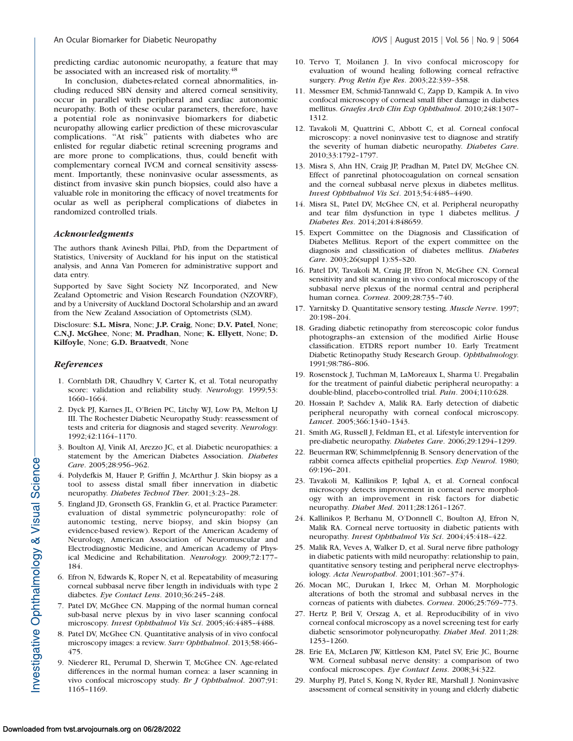predicting cardiac autonomic neuropathy, a feature that may be associated with an increased risk of mortality.<sup>48</sup>

In conclusion, diabetes-related corneal abnormalities, including reduced SBN density and altered corneal sensitivity, occur in parallel with peripheral and cardiac autonomic neuropathy. Both of these ocular parameters, therefore, have a potential role as noninvasive biomarkers for diabetic neuropathy allowing earlier prediction of these microvascular complications. ''At risk'' patients with diabetes who are enlisted for regular diabetic retinal screening programs and are more prone to complications, thus, could benefit with complementary corneal IVCM and corneal sensitivity assessment. Importantly, these noninvasive ocular assessments, as distinct from invasive skin punch biopsies, could also have a valuable role in monitoring the efficacy of novel treatments for ocular as well as peripheral complications of diabetes in randomized controlled trials.

#### Acknowledgments

The authors thank Avinesh Pillai, PhD, from the Department of Statistics, University of Auckland for his input on the statistical analysis, and Anna Van Pomeren for administrative support and data entry.

Supported by Save Sight Society NZ Incorporated, and New Zealand Optometric and Vision Research Foundation (NZOVRF), and by a University of Auckland Doctoral Scholarship and an award from the New Zealand Association of Optometrists (SLM).

Disclosure: S.L. Misra, None; J.P. Craig, None; D.V. Patel, None; C.N.J. McGhee, None; M. Pradhan, None; K. Ellyett, None; D. Kilfoyle, None; G.D. Braatvedt, None

#### References

- 1. Cornblath DR, Chaudhry V, Carter K, et al. Total neuropathy score: validation and reliability study. Neurology. 1999;53: 1660–1664.
- 2. Dyck PJ, Karnes JL, O'Brien PC, Litchy WJ, Low PA, Melton LJ III. The Rochester Diabetic Neuropathy Study: reassessment of tests and criteria for diagnosis and staged severity. Neurology. 1992;42:1164–1170.
- 3. Boulton AJ, Vinik AI, Arezzo JC, et al. Diabetic neuropathies: a statement by the American Diabetes Association. Diabetes Care. 2005;28:956–962.
- 4. Polydefkis M, Hauer P, Griffin J, McArthur J. Skin biopsy as a tool to assess distal small fiber innervation in diabetic neuropathy. Diabetes Technol Ther. 2001;3:23–28.
- 5. England JD, Gronseth GS, Franklin G, et al. Practice Parameter: evaluation of distal symmetric polyneuropathy: role of autonomic testing, nerve biopsy, and skin biopsy (an evidence-based review). Report of the American Academy of Neurology, American Association of Neuromuscular and Electrodiagnostic Medicine, and American Academy of Physical Medicine and Rehabilitation. Neurology. 2009;72:177– 184.
- 6. Efron N, Edwards K, Roper N, et al. Repeatability of measuring corneal subbasal nerve fiber length in individuals with type 2 diabetes. Eye Contact Lens. 2010;36:245–248.
- 7. Patel DV, McGhee CN. Mapping of the normal human corneal sub-basal nerve plexus by in vivo laser scanning confocal microscopy. Invest Ophthalmol Vis Sci. 2005;46:4485–4488.
- 8. Patel DV, McGhee CN. Quantitative analysis of in vivo confocal microscopy images: a review. Surv Ophthalmol. 2013;58:466– 475.
- 9. Niederer RL, Perumal D, Sherwin T, McGhee CN. Age-related differences in the normal human cornea: a laser scanning in vivo confocal microscopy study. Br J Ophthalmol. 2007;91: 1165–1169.
- 10. Tervo T, Moilanen J. In vivo confocal microscopy for evaluation of wound healing following corneal refractive surgery. Prog Retin Eye Res. 2003;22:339–358.
- 11. Messmer EM, Schmid-Tannwald C, Zapp D, Kampik A. In vivo confocal microscopy of corneal small fiber damage in diabetes mellitus. Graefes Arch Clin Exp Ophthalmol. 2010;248:1307– 1312.
- 12. Tavakoli M, Quattrini C, Abbott C, et al. Corneal confocal microscopy: a novel noninvasive test to diagnose and stratify the severity of human diabetic neuropathy. Diabetes Care. 2010;33:1792–1797.
- 13. Misra S, Ahn HN, Craig JP, Pradhan M, Patel DV, McGhee CN. Effect of panretinal photocoagulation on corneal sensation and the corneal subbasal nerve plexus in diabetes mellitus. Invest Ophthalmol Vis Sci. 2013;54:4485–4490.
- 14. Misra SL, Patel DV, McGhee CN, et al. Peripheral neuropathy and tear film dysfunction in type 1 diabetes mellitus. J Diabetes Res. 2014;2014:848659.
- 15. Expert Committee on the Diagnosis and Classification of Diabetes Mellitus. Report of the expert committee on the diagnosis and classification of diabetes mellitus. Diabetes Care. 2003;26(suppl 1):S5–S20.
- 16. Patel DV, Tavakoli M, Craig JP, Efron N, McGhee CN. Corneal sensitivity and slit scanning in vivo confocal microscopy of the subbasal nerve plexus of the normal central and peripheral human cornea. Cornea. 2009;28:735–740.
- 17. Yarnitsky D. Quantitative sensory testing. Muscle Nerve. 1997; 20:198–204.
- 18. Grading diabetic retinopathy from stereoscopic color fundus photographs–an extension of the modified Airlie House classification. ETDRS report number 10. Early Treatment Diabetic Retinopathy Study Research Group. Ophthalmology. 1991;98:786–806.
- 19. Rosenstock J, Tuchman M, LaMoreaux L, Sharma U. Pregabalin for the treatment of painful diabetic peripheral neuropathy: a double-blind, placebo-controlled trial. Pain. 2004;110:628.
- 20. Hossain P, Sachdev A, Malik RA. Early detection of diabetic peripheral neuropathy with corneal confocal microscopy. Lancet. 2005;366:1340–1343.
- 21. Smith AG, Russell J, Feldman EL, et al. Lifestyle intervention for pre-diabetic neuropathy. Diabetes Care. 2006;29:1294–1299.
- 22. Beuerman RW, Schimmelpfennig B. Sensory denervation of the rabbit cornea affects epithelial properties. Exp Neurol. 1980; 69:196–201.
- 23. Tavakoli M, Kallinikos P, Iqbal A, et al. Corneal confocal microscopy detects improvement in corneal nerve morphology with an improvement in risk factors for diabetic neuropathy. Diabet Med. 2011;28:1261–1267.
- 24. Kallinikos P, Berhanu M, O'Donnell C, Boulton AJ, Efron N, Malik RA. Corneal nerve tortuosity in diabetic patients with neuropathy. Invest Ophthalmol Vis Sci. 2004;45:418–422.
- 25. Malik RA, Veves A, Walker D, et al. Sural nerve fibre pathology in diabetic patients with mild neuropathy: relationship to pain, quantitative sensory testing and peripheral nerve electrophysiology. Acta Neuropathol. 2001;101:367–374.
- 26. Mocan MC, Durukan I, Irkec M, Orhan M. Morphologic alterations of both the stromal and subbasal nerves in the corneas of patients with diabetes. Cornea. 2006;25:769–773.
- 27. Hertz P, Bril V, Orszag A, et al. Reproducibility of in vivo corneal confocal microscopy as a novel screening test for early diabetic sensorimotor polyneuropathy. Diabet Med. 2011;28: 1253–1260.
- 28. Erie EA, McLaren JW, Kittleson KM, Patel SV, Erie JC, Bourne WM. Corneal subbasal nerve density: a comparison of two confocal microscopes. Eye Contact Lens. 2008;34:322.
- 29. Murphy PJ, Patel S, Kong N, Ryder RE, Marshall J. Noninvasive assessment of corneal sensitivity in young and elderly diabetic